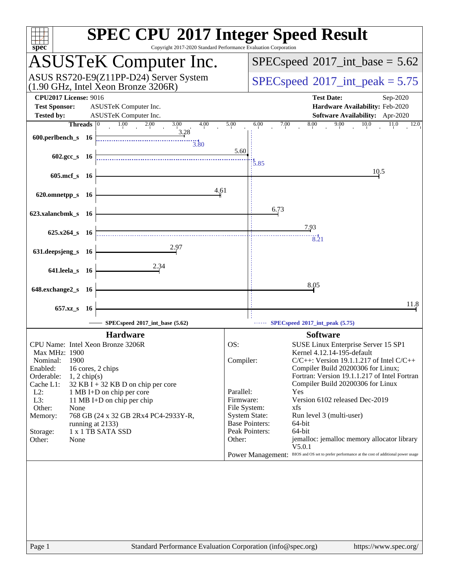| $spec^*$                                                                                                                                             | Copyright 2017-2020 Standard Performance Evaluation Corporation                                                                                                                                                                                              | <b>SPEC CPU®2017 Integer Speed Result</b>                                                                                                                                                                                                                                                                                                                                                                                                                                                                                                                                                                                                          |
|------------------------------------------------------------------------------------------------------------------------------------------------------|--------------------------------------------------------------------------------------------------------------------------------------------------------------------------------------------------------------------------------------------------------------|----------------------------------------------------------------------------------------------------------------------------------------------------------------------------------------------------------------------------------------------------------------------------------------------------------------------------------------------------------------------------------------------------------------------------------------------------------------------------------------------------------------------------------------------------------------------------------------------------------------------------------------------------|
|                                                                                                                                                      | <b>ASUSTeK Computer Inc.</b>                                                                                                                                                                                                                                 | $SPEC speed^{\circ}2017\_int\_base = 5.62$                                                                                                                                                                                                                                                                                                                                                                                                                                                                                                                                                                                                         |
|                                                                                                                                                      | ASUS RS720-E9(Z11PP-D24) Server System<br>$(1.90 \text{ GHz}, \text{Intel Xeon Bronze } 3206\text{R})$                                                                                                                                                       | $SPEC speed^{\circ}2017\_int\_peak = 5.75$                                                                                                                                                                                                                                                                                                                                                                                                                                                                                                                                                                                                         |
| <b>CPU2017 License: 9016</b><br><b>Test Sponsor:</b><br><b>Tested by:</b>                                                                            | ASUSTeK Computer Inc.<br>ASUSTeK Computer Inc.                                                                                                                                                                                                               | <b>Test Date:</b><br>Sep-2020<br>Hardware Availability: Feb-2020<br>Software Availability: Apr-2020                                                                                                                                                                                                                                                                                                                                                                                                                                                                                                                                                |
| Threads $ 0 $                                                                                                                                        | $\overline{1.00}$<br>2.00<br>3.00<br>4.00                                                                                                                                                                                                                    | 8.00<br>9.00<br>10.0<br>5.00<br>6.00<br>7.00<br>11.0<br>12.0                                                                                                                                                                                                                                                                                                                                                                                                                                                                                                                                                                                       |
| 600.perlbench_s 16                                                                                                                                   | 3.28<br>$\frac{11}{3.80}$                                                                                                                                                                                                                                    |                                                                                                                                                                                                                                                                                                                                                                                                                                                                                                                                                                                                                                                    |
| 602.gcc_s 16                                                                                                                                         |                                                                                                                                                                                                                                                              | 5.60<br>3.85                                                                                                                                                                                                                                                                                                                                                                                                                                                                                                                                                                                                                                       |
| 605.mcf_s 16                                                                                                                                         |                                                                                                                                                                                                                                                              | 10.5                                                                                                                                                                                                                                                                                                                                                                                                                                                                                                                                                                                                                                               |
| 620.omnetpp_s 16                                                                                                                                     | 4.61                                                                                                                                                                                                                                                         |                                                                                                                                                                                                                                                                                                                                                                                                                                                                                                                                                                                                                                                    |
| 623.xalancbmk_s 16                                                                                                                                   |                                                                                                                                                                                                                                                              | 6.73                                                                                                                                                                                                                                                                                                                                                                                                                                                                                                                                                                                                                                               |
| $625.x264_s$ 16                                                                                                                                      |                                                                                                                                                                                                                                                              | 7.93<br>8.21                                                                                                                                                                                                                                                                                                                                                                                                                                                                                                                                                                                                                                       |
| 631.deepsjeng_s 16                                                                                                                                   |                                                                                                                                                                                                                                                              |                                                                                                                                                                                                                                                                                                                                                                                                                                                                                                                                                                                                                                                    |
| 641.leela_s 16                                                                                                                                       | 2.34                                                                                                                                                                                                                                                         |                                                                                                                                                                                                                                                                                                                                                                                                                                                                                                                                                                                                                                                    |
| 648.exchange2_s 16                                                                                                                                   |                                                                                                                                                                                                                                                              | 8.05                                                                                                                                                                                                                                                                                                                                                                                                                                                                                                                                                                                                                                               |
| 657.xz_s 16                                                                                                                                          |                                                                                                                                                                                                                                                              | 11.8                                                                                                                                                                                                                                                                                                                                                                                                                                                                                                                                                                                                                                               |
|                                                                                                                                                      | SPECspeed®2017_int_base (5.62)                                                                                                                                                                                                                               | $\cdots$ SPECspeed®2017_int_peak (5.75)                                                                                                                                                                                                                                                                                                                                                                                                                                                                                                                                                                                                            |
|                                                                                                                                                      | <b>Hardware</b>                                                                                                                                                                                                                                              | <b>Software</b>                                                                                                                                                                                                                                                                                                                                                                                                                                                                                                                                                                                                                                    |
| Max MHz: 1900<br>1900<br>Nominal:<br>Enabled:<br>Orderable:<br>Cache L1:<br>$L2$ :<br>L3:<br>Other:<br>None<br>Memory:<br>Storage:<br>None<br>Other: | CPU Name: Intel Xeon Bronze 3206R<br>16 cores, 2 chips<br>$1, 2$ chip(s)<br>$32$ KB I + 32 KB D on chip per core<br>1 MB I+D on chip per core<br>11 MB I+D on chip per chip<br>768 GB (24 x 32 GB 2Rx4 PC4-2933Y-R,<br>running at 2133)<br>1 x 1 TB SATA SSD | OS:<br>SUSE Linux Enterprise Server 15 SP1<br>Kernel 4.12.14-195-default<br>$C/C++$ : Version 19.1.1.217 of Intel $C/C++$<br>Compiler:<br>Compiler Build 20200306 for Linux;<br>Fortran: Version 19.1.1.217 of Intel Fortran<br>Compiler Build 20200306 for Linux<br>Parallel:<br>Yes<br>Version 6102 released Dec-2019<br>Firmware:<br>File System:<br>xfs<br><b>System State:</b><br>Run level 3 (multi-user)<br><b>Base Pointers:</b><br>64-bit<br>Peak Pointers:<br>64-bit<br>jemalloc: jemalloc memory allocator library<br>Other:<br>V5.0.1<br>Power Management: BIOS and OS set to prefer performance at the cost of additional power usage |
| Page 1                                                                                                                                               | Standard Performance Evaluation Corporation (info@spec.org)                                                                                                                                                                                                  | https://www.spec.org/                                                                                                                                                                                                                                                                                                                                                                                                                                                                                                                                                                                                                              |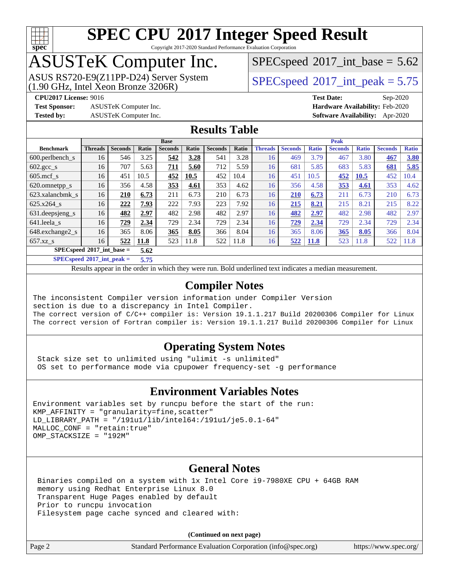

Copyright 2017-2020 Standard Performance Evaluation Corporation

## ASUSTeK Computer Inc.

ASUS RS720-E9(Z11PP-D24) Server System  $(1.90 \text{ GHz}, \text{ Intel Xeon Bronze } 3206\text{R})$   $\left| \text{ SPECspeed} \text{ }^{\circ}\text{2017\_int\_peak} = 5.75 \right|$  $\left| \text{ SPECspeed} \text{ }^{\circ}\text{2017\_int\_peak} = 5.75 \right|$  $\left| \text{ SPECspeed} \text{ }^{\circ}\text{2017\_int\_peak} = 5.75 \right|$ 

 $SPECspeed^{\circ}2017\_int\_base = 5.62$  $SPECspeed^{\circ}2017\_int\_base = 5.62$ 

**[Test Sponsor:](http://www.spec.org/auto/cpu2017/Docs/result-fields.html#TestSponsor)** ASUSTeK Computer Inc. **[Hardware Availability:](http://www.spec.org/auto/cpu2017/Docs/result-fields.html#HardwareAvailability)** Feb-2020

**[CPU2017 License:](http://www.spec.org/auto/cpu2017/Docs/result-fields.html#CPU2017License)** 9016 **[Test Date:](http://www.spec.org/auto/cpu2017/Docs/result-fields.html#TestDate)** Sep-2020 **[Tested by:](http://www.spec.org/auto/cpu2017/Docs/result-fields.html#Testedby)** ASUSTeK Computer Inc. **[Software Availability:](http://www.spec.org/auto/cpu2017/Docs/result-fields.html#SoftwareAvailability)** Apr-2020

#### **[Results Table](http://www.spec.org/auto/cpu2017/Docs/result-fields.html#ResultsTable)**

|                                     | <b>Base</b>    |                |       |                |       | <b>Peak</b>    |       |                |                |              |                |              |                |              |
|-------------------------------------|----------------|----------------|-------|----------------|-------|----------------|-------|----------------|----------------|--------------|----------------|--------------|----------------|--------------|
| <b>Benchmark</b>                    | <b>Threads</b> | <b>Seconds</b> | Ratio | <b>Seconds</b> | Ratio | <b>Seconds</b> | Ratio | <b>Threads</b> | <b>Seconds</b> | <b>Ratio</b> | <b>Seconds</b> | <b>Ratio</b> | <b>Seconds</b> | <b>Ratio</b> |
| $600.$ perlbench $\mathsf{S}$       | 16             | 546            | 3.25  | 542            | 3.28  | 541            | 3.28  | 16             | 469            | 3.79         | 467            | 3.80         | 467            | 3.80         |
| $602.\text{gcc}\_\text{s}$          | 16             | 707            | 5.63  | 711            | 5.60  | 712            | 5.59  | 16             | 681            | 5.85         | 683            | 5.83         | 681            | 5.85         |
| $605$ .mcf s                        | 16             | 451            | 10.5  | 452            | 10.5  | 452            | 10.4  | 16             | 451            | 10.5         | 452            | 10.5         | 452            | 10.4         |
| 620.omnetpp_s                       | 16             | 356            | 4.58  | 353            | 4.61  | 353            | 4.62  | 16             | 356            | 4.58         | 353            | 4.61         | 353            | 4.62         |
| 623.xalancbmk s                     | 16             | 210            | 6.73  | 211            | 6.73  | 210            | 6.73  | 16             | 210            | 6.73         | 211            | 6.73         | 210            | 6.73         |
| 625.x264 s                          | 16             | 222            | 7.93  | 222            | 7.93  | 223            | 7.92  | 16             | 215            | 8.21         | 215            | 8.21         | 215            | 8.22         |
| 631.deepsjeng_s                     | 16             | 482            | 2.97  | 482            | 2.98  | 482            | 2.97  | 16             | 482            | 2.97         | 482            | 2.98         | 482            | 2.97         |
| 641.leela s                         | 16             | 729            | 2.34  | 729            | 2.34  | 729            | 2.34  | 16             | 729            | 2.34         | 729            | 2.34         | 729            | 2.34         |
| 648.exchange2_s                     | 16             | 365            | 8.06  | 365            | 8.05  | 366            | 8.04  | 16             | 365            | 8.06         | 365            | 8.05         | 366            | 8.04         |
| $657.xz$ s                          | 16             | 522            | 11.8  | 523            | 11.8  | 522            | 11.8  | 16             | 522            | <b>11.8</b>  | 523            | 11.8         | 522            | 11.8         |
| $SPECspeed*2017$ int base =<br>5.62 |                |                |       |                |       |                |       |                |                |              |                |              |                |              |

**[SPECspeed](http://www.spec.org/auto/cpu2017/Docs/result-fields.html#SPECspeed2017intpeak)[2017\\_int\\_peak =](http://www.spec.org/auto/cpu2017/Docs/result-fields.html#SPECspeed2017intpeak) 5.75**

Results appear in the [order in which they were run.](http://www.spec.org/auto/cpu2017/Docs/result-fields.html#RunOrder) Bold underlined text [indicates a median measurement](http://www.spec.org/auto/cpu2017/Docs/result-fields.html#Median).

### **[Compiler Notes](http://www.spec.org/auto/cpu2017/Docs/result-fields.html#CompilerNotes)**

The inconsistent Compiler version information under Compiler Version section is due to a discrepancy in Intel Compiler. The correct version of C/C++ compiler is: Version 19.1.1.217 Build 20200306 Compiler for Linux The correct version of Fortran compiler is: Version 19.1.1.217 Build 20200306 Compiler for Linux

#### **[Operating System Notes](http://www.spec.org/auto/cpu2017/Docs/result-fields.html#OperatingSystemNotes)**

 Stack size set to unlimited using "ulimit -s unlimited" OS set to performance mode via cpupower frequency-set -g performance

#### **[Environment Variables Notes](http://www.spec.org/auto/cpu2017/Docs/result-fields.html#EnvironmentVariablesNotes)**

```
Environment variables set by runcpu before the start of the run:
KMP AFFINITY = "granularity=fine, scatter"
LD_LIBRARY_PATH = "/191u1/lib/intel64:/191u1/je5.0.1-64"
MALLOC_CONF = "retain:true"
OMP_STACKSIZE = "192M"
```
#### **[General Notes](http://www.spec.org/auto/cpu2017/Docs/result-fields.html#GeneralNotes)**

 Binaries compiled on a system with 1x Intel Core i9-7980XE CPU + 64GB RAM memory using Redhat Enterprise Linux 8.0 Transparent Huge Pages enabled by default Prior to runcpu invocation Filesystem page cache synced and cleared with:

**(Continued on next page)**

| 'age |  |
|------|--|
|      |  |

Page 2 Standard Performance Evaluation Corporation [\(info@spec.org\)](mailto:info@spec.org) <https://www.spec.org/>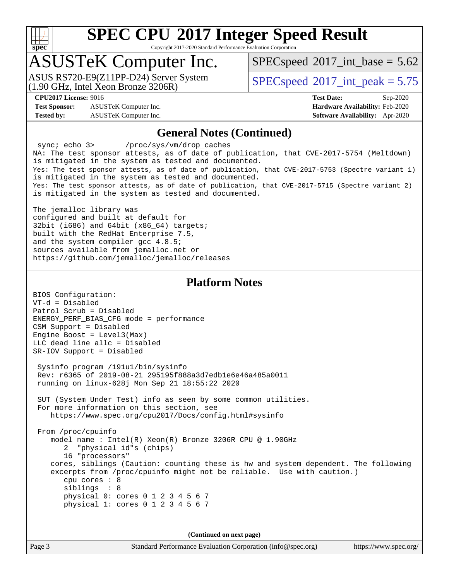

Copyright 2017-2020 Standard Performance Evaluation Corporation

## ASUSTeK Computer Inc.

(1.90 GHz, Intel Xeon Bronze 3206R) ASUS RS720-E9(Z11PP-D24) Server System  $SPECspeed@2017$  $SPECspeed@2017$  int\_peak = 5.75

 $SPECspeed^{\circ}2017\_int\_base = 5.62$  $SPECspeed^{\circ}2017\_int\_base = 5.62$ 

**[Test Sponsor:](http://www.spec.org/auto/cpu2017/Docs/result-fields.html#TestSponsor)** ASUSTeK Computer Inc. **[Hardware Availability:](http://www.spec.org/auto/cpu2017/Docs/result-fields.html#HardwareAvailability)** Feb-2020 **[Tested by:](http://www.spec.org/auto/cpu2017/Docs/result-fields.html#Testedby)** ASUSTeK Computer Inc. **[Software Availability:](http://www.spec.org/auto/cpu2017/Docs/result-fields.html#SoftwareAvailability)** Apr-2020

**[CPU2017 License:](http://www.spec.org/auto/cpu2017/Docs/result-fields.html#CPU2017License)** 9016 **[Test Date:](http://www.spec.org/auto/cpu2017/Docs/result-fields.html#TestDate)** Sep-2020

#### **[General Notes \(Continued\)](http://www.spec.org/auto/cpu2017/Docs/result-fields.html#GeneralNotes)**

sync; echo 3> /proc/sys/vm/drop\_caches NA: The test sponsor attests, as of date of publication, that CVE-2017-5754 (Meltdown) is mitigated in the system as tested and documented. Yes: The test sponsor attests, as of date of publication, that CVE-2017-5753 (Spectre variant 1) is mitigated in the system as tested and documented. Yes: The test sponsor attests, as of date of publication, that CVE-2017-5715 (Spectre variant 2) is mitigated in the system as tested and documented.

The jemalloc library was configured and built at default for 32bit (i686) and 64bit (x86\_64) targets; built with the RedHat Enterprise 7.5, and the system compiler gcc 4.8.5; sources available from jemalloc.net or <https://github.com/jemalloc/jemalloc/releases>

#### **[Platform Notes](http://www.spec.org/auto/cpu2017/Docs/result-fields.html#PlatformNotes)**

BIOS Configuration: VT-d = Disabled Patrol Scrub = Disabled ENERGY\_PERF\_BIAS\_CFG mode = performance CSM Support = Disabled Engine Boost = Level3(Max) LLC dead line allc = Disabled SR-IOV Support = Disabled

 Sysinfo program /191u1/bin/sysinfo Rev: r6365 of 2019-08-21 295195f888a3d7edb1e6e46a485a0011 running on linux-628j Mon Sep 21 18:55:22 2020

 SUT (System Under Test) info as seen by some common utilities. For more information on this section, see <https://www.spec.org/cpu2017/Docs/config.html#sysinfo>

 From /proc/cpuinfo model name : Intel(R) Xeon(R) Bronze 3206R CPU @ 1.90GHz 2 "physical id"s (chips) 16 "processors" cores, siblings (Caution: counting these is hw and system dependent. The following excerpts from /proc/cpuinfo might not be reliable. Use with caution.) cpu cores : 8 siblings : 8 physical 0: cores 0 1 2 3 4 5 6 7 physical 1: cores 0 1 2 3 4 5 6 7

**(Continued on next page)**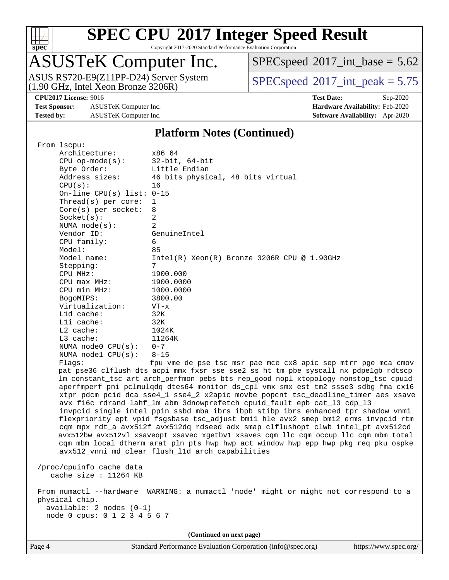

Copyright 2017-2020 Standard Performance Evaluation Corporation

## ASUSTeK Computer Inc.

ASUS RS720-E9(Z11PP-D24) Server System<br>(1.90 GHz, Intel Xeon Bronze 3206R)

 $SPEC speed$ <sup>®</sup> $2017$ \_int\_base = 5.62

 $SPECspeed^{\circ}2017\_int\_peak = 5.75$  $SPECspeed^{\circ}2017\_int\_peak = 5.75$ 

**[Test Sponsor:](http://www.spec.org/auto/cpu2017/Docs/result-fields.html#TestSponsor)** ASUSTeK Computer Inc. **[Hardware Availability:](http://www.spec.org/auto/cpu2017/Docs/result-fields.html#HardwareAvailability)** Feb-2020 **[Tested by:](http://www.spec.org/auto/cpu2017/Docs/result-fields.html#Testedby)** ASUSTeK Computer Inc. **[Software Availability:](http://www.spec.org/auto/cpu2017/Docs/result-fields.html#SoftwareAvailability)** Apr-2020

**[CPU2017 License:](http://www.spec.org/auto/cpu2017/Docs/result-fields.html#CPU2017License)** 9016 **[Test Date:](http://www.spec.org/auto/cpu2017/Docs/result-fields.html#TestDate)** Sep-2020

#### **[Platform Notes \(Continued\)](http://www.spec.org/auto/cpu2017/Docs/result-fields.html#PlatformNotes)**

| From 1scpu:                  |                                                                                                                                        |                                                                                      |  |  |  |  |  |
|------------------------------|----------------------------------------------------------------------------------------------------------------------------------------|--------------------------------------------------------------------------------------|--|--|--|--|--|
| Architecture:                | x86 64                                                                                                                                 |                                                                                      |  |  |  |  |  |
| $CPU$ op-mode( $s$ ):        |                                                                                                                                        | $32$ -bit, $64$ -bit                                                                 |  |  |  |  |  |
| Byte Order:                  | Little Endian                                                                                                                          |                                                                                      |  |  |  |  |  |
| Address sizes:               |                                                                                                                                        | 46 bits physical, 48 bits virtual                                                    |  |  |  |  |  |
| CPU(s):                      | 16                                                                                                                                     |                                                                                      |  |  |  |  |  |
|                              | On-line CPU(s) list: $0-15$                                                                                                            |                                                                                      |  |  |  |  |  |
| Thread(s) per core:          | 1                                                                                                                                      |                                                                                      |  |  |  |  |  |
| Core(s) per socket:          | 8                                                                                                                                      |                                                                                      |  |  |  |  |  |
| Socket(s):                   | 2                                                                                                                                      |                                                                                      |  |  |  |  |  |
| NUMA $node(s):$              | $\overline{a}$                                                                                                                         |                                                                                      |  |  |  |  |  |
| Vendor ID:                   | GenuineIntel                                                                                                                           |                                                                                      |  |  |  |  |  |
| CPU family:                  | 6                                                                                                                                      |                                                                                      |  |  |  |  |  |
| Model:                       | 85                                                                                                                                     |                                                                                      |  |  |  |  |  |
| Model name:                  |                                                                                                                                        | $Intel(R) Xeon(R) Bronze 3206R CPU @ 1.90GHz$                                        |  |  |  |  |  |
| Stepping:                    | 7                                                                                                                                      |                                                                                      |  |  |  |  |  |
| CPU MHz:                     | 1900.000                                                                                                                               |                                                                                      |  |  |  |  |  |
| CPU max MHz:                 | 1900.0000                                                                                                                              |                                                                                      |  |  |  |  |  |
| CPU min MHz:                 | 1000.0000                                                                                                                              |                                                                                      |  |  |  |  |  |
| BogoMIPS:                    | 3800.00                                                                                                                                |                                                                                      |  |  |  |  |  |
| Virtualization:              | $VT - x$                                                                                                                               |                                                                                      |  |  |  |  |  |
| L1d cache:                   | 32K                                                                                                                                    |                                                                                      |  |  |  |  |  |
| Lli cache:                   | 32K                                                                                                                                    |                                                                                      |  |  |  |  |  |
| $L2$ cache:                  | 1024K                                                                                                                                  |                                                                                      |  |  |  |  |  |
| L3 cache:                    | 11264K                                                                                                                                 |                                                                                      |  |  |  |  |  |
| NUMA $node0$ $CPU(s):$       | $0 - 7$                                                                                                                                |                                                                                      |  |  |  |  |  |
| NUMA nodel CPU(s):           | $8 - 15$                                                                                                                               |                                                                                      |  |  |  |  |  |
| Flagg:                       |                                                                                                                                        | fpu vme de pse tsc msr pae mce cx8 apic sep mtrr pge mca cmov                        |  |  |  |  |  |
|                              |                                                                                                                                        | pat pse36 clflush dts acpi mmx fxsr sse sse2 ss ht tm pbe syscall nx pdpelgb rdtscp  |  |  |  |  |  |
|                              |                                                                                                                                        | lm constant_tsc art arch_perfmon pebs bts rep_good nopl xtopology nonstop_tsc cpuid  |  |  |  |  |  |
|                              |                                                                                                                                        | aperfmperf pni pclmulqdq dtes64 monitor ds_cpl vmx smx est tm2 ssse3 sdbg fma cx16   |  |  |  |  |  |
|                              |                                                                                                                                        | xtpr pdcm pcid dca sse4_1 sse4_2 x2apic movbe popcnt tsc_deadline_timer aes xsave    |  |  |  |  |  |
|                              |                                                                                                                                        | avx f16c rdrand lahf_lm abm 3dnowprefetch cpuid_fault epb cat_13 cdp_13              |  |  |  |  |  |
|                              |                                                                                                                                        | invpcid_single intel_ppin ssbd mba ibrs ibpb stibp ibrs_enhanced tpr_shadow vnmi     |  |  |  |  |  |
|                              |                                                                                                                                        | flexpriority ept vpid fsgsbase tsc_adjust bmil hle avx2 smep bmi2 erms invpcid rtm   |  |  |  |  |  |
|                              |                                                                                                                                        | cqm mpx rdt_a avx512f avx512dq rdseed adx smap clflushopt clwb intel_pt avx512cd     |  |  |  |  |  |
|                              |                                                                                                                                        | avx512bw avx512vl xsaveopt xsavec xgetbvl xsaves cqm_llc cqm_occup_llc cqm_mbm_total |  |  |  |  |  |
|                              | cqm_mbm_local dtherm arat pln pts hwp hwp_act_window hwp_epp hwp_pkg_req pku ospke<br>avx512_vnni md_clear flush_l1d arch_capabilities |                                                                                      |  |  |  |  |  |
|                              |                                                                                                                                        |                                                                                      |  |  |  |  |  |
| /proc/cpuinfo cache data     |                                                                                                                                        |                                                                                      |  |  |  |  |  |
| cache size : 11264 KB        |                                                                                                                                        |                                                                                      |  |  |  |  |  |
|                              |                                                                                                                                        |                                                                                      |  |  |  |  |  |
|                              |                                                                                                                                        | From numactl --hardware WARNING: a numactl 'node' might or might not correspond to a |  |  |  |  |  |
| physical chip.               |                                                                                                                                        |                                                                                      |  |  |  |  |  |
| available: 2 nodes (0-1)     |                                                                                                                                        |                                                                                      |  |  |  |  |  |
| node 0 cpus: 0 1 2 3 4 5 6 7 |                                                                                                                                        |                                                                                      |  |  |  |  |  |
|                              |                                                                                                                                        |                                                                                      |  |  |  |  |  |
|                              |                                                                                                                                        | (Continued on next page)                                                             |  |  |  |  |  |
|                              |                                                                                                                                        |                                                                                      |  |  |  |  |  |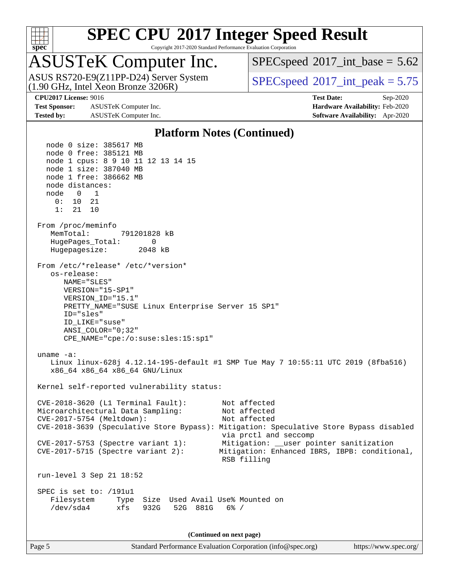

Copyright 2017-2020 Standard Performance Evaluation Corporation

## ASUSTeK Computer Inc.

 $(1.90 \text{ GHz}, \text{Intel } \hat{\text{X}}$ eon Bronze 3206R) ASUS RS720-E9(Z11PP-D24) Server System  $SPECspeed@2017$  $SPECspeed@2017$  int\_peak = 5.75

 $SPECspeed^{\circ}2017\_int\_base = 5.62$  $SPECspeed^{\circ}2017\_int\_base = 5.62$ 

**[Test Sponsor:](http://www.spec.org/auto/cpu2017/Docs/result-fields.html#TestSponsor)** ASUSTeK Computer Inc. **[Hardware Availability:](http://www.spec.org/auto/cpu2017/Docs/result-fields.html#HardwareAvailability)** Feb-2020 **[Tested by:](http://www.spec.org/auto/cpu2017/Docs/result-fields.html#Testedby)** ASUSTeK Computer Inc. **[Software Availability:](http://www.spec.org/auto/cpu2017/Docs/result-fields.html#SoftwareAvailability)** Apr-2020

**[CPU2017 License:](http://www.spec.org/auto/cpu2017/Docs/result-fields.html#CPU2017License)** 9016 **[Test Date:](http://www.spec.org/auto/cpu2017/Docs/result-fields.html#TestDate)** Sep-2020

#### **[Platform Notes \(Continued\)](http://www.spec.org/auto/cpu2017/Docs/result-fields.html#PlatformNotes)**

 node 0 size: 385617 MB node 0 free: 385121 MB node 1 cpus: 8 9 10 11 12 13 14 15 node 1 size: 387040 MB node 1 free: 386662 MB node distances: node 0 1 0: 10 21 1: 21 10 From /proc/meminfo MemTotal: 791201828 kB HugePages\_Total: 0 Hugepagesize: 2048 kB From /etc/\*release\* /etc/\*version\* os-release: NAME="SLES" VERSION="15-SP1" VERSION\_ID="15.1" PRETTY\_NAME="SUSE Linux Enterprise Server 15 SP1" ID="sles" ID\_LIKE="suse" ANSI\_COLOR="0;32" CPE\_NAME="cpe:/o:suse:sles:15:sp1" uname -a: Linux linux-628j 4.12.14-195-default #1 SMP Tue May 7 10:55:11 UTC 2019 (8fba516) x86\_64 x86\_64 x86\_64 GNU/Linux Kernel self-reported vulnerability status: CVE-2018-3620 (L1 Terminal Fault): Not affected Microarchitectural Data Sampling: Not affected CVE-2017-5754 (Meltdown): Not affected CVE-2018-3639 (Speculative Store Bypass): Mitigation: Speculative Store Bypass disabled via prctl and seccomp CVE-2017-5753 (Spectre variant 1): Mitigation: \_\_user pointer sanitization CVE-2017-5715 (Spectre variant 2): Mitigation: Enhanced IBRS, IBPB: conditional, RSB filling run-level 3 Sep 21 18:52 SPEC is set to: /191u1 Filesystem Type Size Used Avail Use% Mounted on /dev/sda4 xfs 932G 52G 881G 6% / **(Continued on next page)**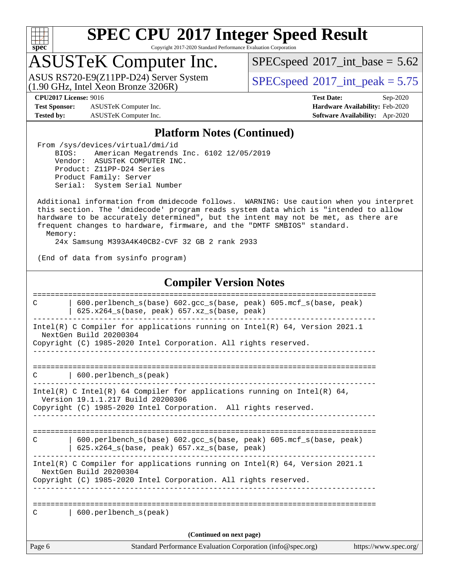

Copyright 2017-2020 Standard Performance Evaluation Corporation

## ASUSTeK Computer Inc.

(1.90 GHz, Intel Xeon Bronze 3206R) ASUS RS720-E9(Z11PP-D24) Server System  $SPECspeed@2017$  $SPECspeed@2017$  int\_peak = 5.75

 $SPECspeed^{\circ}2017\_int\_base = 5.62$  $SPECspeed^{\circ}2017\_int\_base = 5.62$ 

**[Test Sponsor:](http://www.spec.org/auto/cpu2017/Docs/result-fields.html#TestSponsor)** ASUSTeK Computer Inc. **[Hardware Availability:](http://www.spec.org/auto/cpu2017/Docs/result-fields.html#HardwareAvailability)** Feb-2020 **[Tested by:](http://www.spec.org/auto/cpu2017/Docs/result-fields.html#Testedby)** ASUSTeK Computer Inc. **[Software Availability:](http://www.spec.org/auto/cpu2017/Docs/result-fields.html#SoftwareAvailability)** Apr-2020

**[CPU2017 License:](http://www.spec.org/auto/cpu2017/Docs/result-fields.html#CPU2017License)** 9016 **[Test Date:](http://www.spec.org/auto/cpu2017/Docs/result-fields.html#TestDate)** Sep-2020

#### **[Platform Notes \(Continued\)](http://www.spec.org/auto/cpu2017/Docs/result-fields.html#PlatformNotes)**

 From /sys/devices/virtual/dmi/id BIOS: American Megatrends Inc. 6102 12/05/2019 Vendor: ASUSTeK COMPUTER INC. Product: Z11PP-D24 Series Product Family: Server Serial: System Serial Number

 Additional information from dmidecode follows. WARNING: Use caution when you interpret this section. The 'dmidecode' program reads system data which is "intended to allow hardware to be accurately determined", but the intent may not be met, as there are frequent changes to hardware, firmware, and the "DMTF SMBIOS" standard. Memory:

24x Samsung M393A4K40CB2-CVF 32 GB 2 rank 2933

(End of data from sysinfo program)

#### **[Compiler Version Notes](http://www.spec.org/auto/cpu2017/Docs/result-fields.html#CompilerVersionNotes)**

Page 6 Standard Performance Evaluation Corporation [\(info@spec.org\)](mailto:info@spec.org) <https://www.spec.org/> ============================================================================== C | 600.perlbench\_s(base) 602.gcc\_s(base, peak) 605.mcf\_s(base, peak) | 625.x264\_s(base, peak) 657.xz\_s(base, peak) ------------------------------------------------------------------------------ Intel(R) C Compiler for applications running on Intel(R) 64, Version 2021.1 NextGen Build 20200304 Copyright (C) 1985-2020 Intel Corporation. All rights reserved. ------------------------------------------------------------------------------ ============================================================================== C | 600.perlbench\_s(peak) ------------------------------------------------------------------------------ Intel(R) C Intel(R) 64 Compiler for applications running on Intel(R) 64, Version 19.1.1.217 Build 20200306 Copyright (C) 1985-2020 Intel Corporation. All rights reserved. ------------------------------------------------------------------------------ ============================================================================== C | 600.perlbench\_s(base) 602.gcc\_s(base, peak) 605.mcf\_s(base, peak) | 625.x264\_s(base, peak) 657.xz\_s(base, peak) ------------------------------------------------------------------------------ Intel(R) C Compiler for applications running on Intel(R) 64, Version 2021.1 NextGen Build 20200304 Copyright (C) 1985-2020 Intel Corporation. All rights reserved. ------------------------------------------------------------------------------ ============================================================================== C | 600.perlbench\_s(peak) **(Continued on next page)**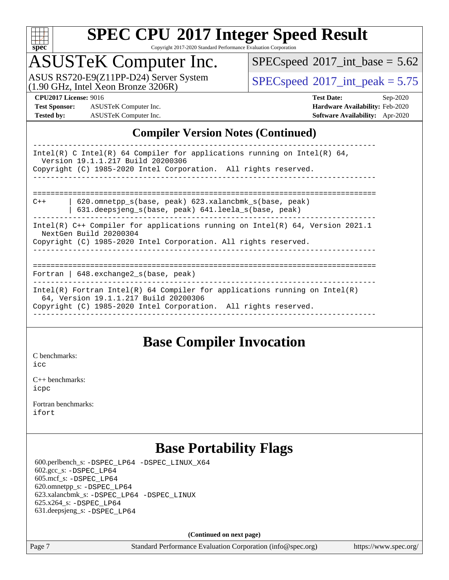

Copyright 2017-2020 Standard Performance Evaluation Corporation

## ASUSTeK Computer Inc.

(1.90 GHz, Intel Xeon Bronze 3206R) ASUS RS720-E9(Z11PP-D24) Server System  $SPECspeed@2017$  $SPECspeed@2017$  int\_peak = 5.75

 $SPECspeed^{\circ}2017\_int\_base = 5.62$  $SPECspeed^{\circ}2017\_int\_base = 5.62$ 

**[Test Sponsor:](http://www.spec.org/auto/cpu2017/Docs/result-fields.html#TestSponsor)** ASUSTeK Computer Inc. **[Hardware Availability:](http://www.spec.org/auto/cpu2017/Docs/result-fields.html#HardwareAvailability)** Feb-2020 **[Tested by:](http://www.spec.org/auto/cpu2017/Docs/result-fields.html#Testedby)** ASUSTeK Computer Inc. **[Software Availability:](http://www.spec.org/auto/cpu2017/Docs/result-fields.html#SoftwareAvailability)** Apr-2020

**[CPU2017 License:](http://www.spec.org/auto/cpu2017/Docs/result-fields.html#CPU2017License)** 9016 **[Test Date:](http://www.spec.org/auto/cpu2017/Docs/result-fields.html#TestDate)** Sep-2020

#### **[Compiler Version Notes \(Continued\)](http://www.spec.org/auto/cpu2017/Docs/result-fields.html#CompilerVersionNotes)**

### **[Base Compiler Invocation](http://www.spec.org/auto/cpu2017/Docs/result-fields.html#BaseCompilerInvocation)**

[C benchmarks](http://www.spec.org/auto/cpu2017/Docs/result-fields.html#Cbenchmarks):

[icc](http://www.spec.org/cpu2017/results/res2020q4/cpu2017-20200925-24018.flags.html#user_CCbase_intel_icc_66fc1ee009f7361af1fbd72ca7dcefbb700085f36577c54f309893dd4ec40d12360134090235512931783d35fd58c0460139e722d5067c5574d8eaf2b3e37e92)

[C++ benchmarks:](http://www.spec.org/auto/cpu2017/Docs/result-fields.html#CXXbenchmarks) [icpc](http://www.spec.org/cpu2017/results/res2020q4/cpu2017-20200925-24018.flags.html#user_CXXbase_intel_icpc_c510b6838c7f56d33e37e94d029a35b4a7bccf4766a728ee175e80a419847e808290a9b78be685c44ab727ea267ec2f070ec5dc83b407c0218cded6866a35d07)

[Fortran benchmarks](http://www.spec.org/auto/cpu2017/Docs/result-fields.html#Fortranbenchmarks): [ifort](http://www.spec.org/cpu2017/results/res2020q4/cpu2017-20200925-24018.flags.html#user_FCbase_intel_ifort_8111460550e3ca792625aed983ce982f94888b8b503583aa7ba2b8303487b4d8a21a13e7191a45c5fd58ff318f48f9492884d4413fa793fd88dd292cad7027ca)

## **[Base Portability Flags](http://www.spec.org/auto/cpu2017/Docs/result-fields.html#BasePortabilityFlags)**

 600.perlbench\_s: [-DSPEC\\_LP64](http://www.spec.org/cpu2017/results/res2020q4/cpu2017-20200925-24018.flags.html#b600.perlbench_s_basePORTABILITY_DSPEC_LP64) [-DSPEC\\_LINUX\\_X64](http://www.spec.org/cpu2017/results/res2020q4/cpu2017-20200925-24018.flags.html#b600.perlbench_s_baseCPORTABILITY_DSPEC_LINUX_X64) 602.gcc\_s: [-DSPEC\\_LP64](http://www.spec.org/cpu2017/results/res2020q4/cpu2017-20200925-24018.flags.html#suite_basePORTABILITY602_gcc_s_DSPEC_LP64) 605.mcf\_s: [-DSPEC\\_LP64](http://www.spec.org/cpu2017/results/res2020q4/cpu2017-20200925-24018.flags.html#suite_basePORTABILITY605_mcf_s_DSPEC_LP64) 620.omnetpp\_s: [-DSPEC\\_LP64](http://www.spec.org/cpu2017/results/res2020q4/cpu2017-20200925-24018.flags.html#suite_basePORTABILITY620_omnetpp_s_DSPEC_LP64) 623.xalancbmk\_s: [-DSPEC\\_LP64](http://www.spec.org/cpu2017/results/res2020q4/cpu2017-20200925-24018.flags.html#suite_basePORTABILITY623_xalancbmk_s_DSPEC_LP64) [-DSPEC\\_LINUX](http://www.spec.org/cpu2017/results/res2020q4/cpu2017-20200925-24018.flags.html#b623.xalancbmk_s_baseCXXPORTABILITY_DSPEC_LINUX) 625.x264\_s: [-DSPEC\\_LP64](http://www.spec.org/cpu2017/results/res2020q4/cpu2017-20200925-24018.flags.html#suite_basePORTABILITY625_x264_s_DSPEC_LP64) 631.deepsjeng\_s: [-DSPEC\\_LP64](http://www.spec.org/cpu2017/results/res2020q4/cpu2017-20200925-24018.flags.html#suite_basePORTABILITY631_deepsjeng_s_DSPEC_LP64)

**(Continued on next page)**

Page 7 Standard Performance Evaluation Corporation [\(info@spec.org\)](mailto:info@spec.org) <https://www.spec.org/>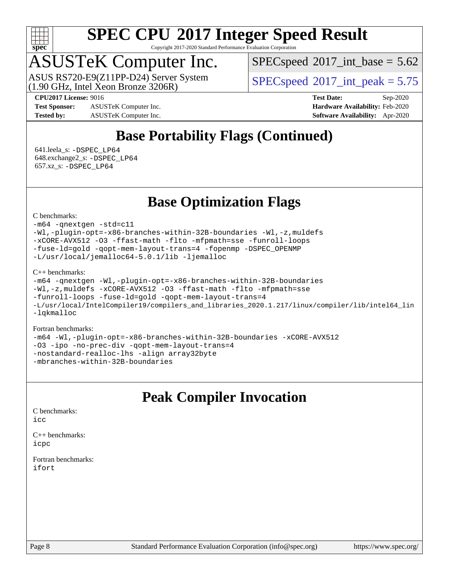

Copyright 2017-2020 Standard Performance Evaluation Corporation

## ASUSTeK Computer Inc.

 $(1.90 \text{ GHz}, \text{Intel } \hat{\text{X}}$ eon Bronze 3206R) ASUS RS720-E9(Z11PP-D24) Server System  $SPECspeed@2017$  $SPECspeed@2017$  int\_peak = 5.75

 $SPECspeed^{\circ}2017\_int\_base = 5.62$  $SPECspeed^{\circ}2017\_int\_base = 5.62$ 

**[Test Sponsor:](http://www.spec.org/auto/cpu2017/Docs/result-fields.html#TestSponsor)** ASUSTeK Computer Inc. **[Hardware Availability:](http://www.spec.org/auto/cpu2017/Docs/result-fields.html#HardwareAvailability)** Feb-2020 **[Tested by:](http://www.spec.org/auto/cpu2017/Docs/result-fields.html#Testedby)** ASUSTeK Computer Inc. **[Software Availability:](http://www.spec.org/auto/cpu2017/Docs/result-fields.html#SoftwareAvailability)** Apr-2020

**[CPU2017 License:](http://www.spec.org/auto/cpu2017/Docs/result-fields.html#CPU2017License)** 9016 **[Test Date:](http://www.spec.org/auto/cpu2017/Docs/result-fields.html#TestDate)** Sep-2020

## **[Base Portability Flags \(Continued\)](http://www.spec.org/auto/cpu2017/Docs/result-fields.html#BasePortabilityFlags)**

 641.leela\_s: [-DSPEC\\_LP64](http://www.spec.org/cpu2017/results/res2020q4/cpu2017-20200925-24018.flags.html#suite_basePORTABILITY641_leela_s_DSPEC_LP64) 648.exchange2\_s: [-DSPEC\\_LP64](http://www.spec.org/cpu2017/results/res2020q4/cpu2017-20200925-24018.flags.html#suite_basePORTABILITY648_exchange2_s_DSPEC_LP64) 657.xz\_s: [-DSPEC\\_LP64](http://www.spec.org/cpu2017/results/res2020q4/cpu2017-20200925-24018.flags.html#suite_basePORTABILITY657_xz_s_DSPEC_LP64)

## **[Base Optimization Flags](http://www.spec.org/auto/cpu2017/Docs/result-fields.html#BaseOptimizationFlags)**

[C benchmarks](http://www.spec.org/auto/cpu2017/Docs/result-fields.html#Cbenchmarks):

[-m64](http://www.spec.org/cpu2017/results/res2020q4/cpu2017-20200925-24018.flags.html#user_CCbase_m64-icc) [-qnextgen](http://www.spec.org/cpu2017/results/res2020q4/cpu2017-20200925-24018.flags.html#user_CCbase_f-qnextgen) [-std=c11](http://www.spec.org/cpu2017/results/res2020q4/cpu2017-20200925-24018.flags.html#user_CCbase_std-icc-std_0e1c27790398a4642dfca32ffe6c27b5796f9c2d2676156f2e42c9c44eaad0c049b1cdb667a270c34d979996257aeb8fc440bfb01818dbc9357bd9d174cb8524) [-Wl,-plugin-opt=-x86-branches-within-32B-boundaries](http://www.spec.org/cpu2017/results/res2020q4/cpu2017-20200925-24018.flags.html#user_CCbase_f-x86-branches-within-32B-boundaries_0098b4e4317ae60947b7b728078a624952a08ac37a3c797dfb4ffeb399e0c61a9dd0f2f44ce917e9361fb9076ccb15e7824594512dd315205382d84209e912f3) [-Wl,-z,muldefs](http://www.spec.org/cpu2017/results/res2020q4/cpu2017-20200925-24018.flags.html#user_CCbase_link_force_multiple1_b4cbdb97b34bdee9ceefcfe54f4c8ea74255f0b02a4b23e853cdb0e18eb4525ac79b5a88067c842dd0ee6996c24547a27a4b99331201badda8798ef8a743f577) [-xCORE-AVX512](http://www.spec.org/cpu2017/results/res2020q4/cpu2017-20200925-24018.flags.html#user_CCbase_f-xCORE-AVX512) [-O3](http://www.spec.org/cpu2017/results/res2020q4/cpu2017-20200925-24018.flags.html#user_CCbase_f-O3) [-ffast-math](http://www.spec.org/cpu2017/results/res2020q4/cpu2017-20200925-24018.flags.html#user_CCbase_f-ffast-math) [-flto](http://www.spec.org/cpu2017/results/res2020q4/cpu2017-20200925-24018.flags.html#user_CCbase_f-flto) [-mfpmath=sse](http://www.spec.org/cpu2017/results/res2020q4/cpu2017-20200925-24018.flags.html#user_CCbase_f-mfpmath_70eb8fac26bde974f8ab713bc9086c5621c0b8d2f6c86f38af0bd7062540daf19db5f3a066d8c6684be05d84c9b6322eb3b5be6619d967835195b93d6c02afa1) [-funroll-loops](http://www.spec.org/cpu2017/results/res2020q4/cpu2017-20200925-24018.flags.html#user_CCbase_f-funroll-loops) [-fuse-ld=gold](http://www.spec.org/cpu2017/results/res2020q4/cpu2017-20200925-24018.flags.html#user_CCbase_f-fuse-ld_920b3586e2b8c6e0748b9c84fa9b744736ba725a32cab14ad8f3d4ad28eecb2f59d1144823d2e17006539a88734fe1fc08fc3035f7676166309105a78aaabc32) [-qopt-mem-layout-trans=4](http://www.spec.org/cpu2017/results/res2020q4/cpu2017-20200925-24018.flags.html#user_CCbase_f-qopt-mem-layout-trans_fa39e755916c150a61361b7846f310bcdf6f04e385ef281cadf3647acec3f0ae266d1a1d22d972a7087a248fd4e6ca390a3634700869573d231a252c784941a8) [-fopenmp](http://www.spec.org/cpu2017/results/res2020q4/cpu2017-20200925-24018.flags.html#user_CCbase_fopenmp_5aa2e47ce4f2ef030ba5d12d5a7a9c4e57167333d78243fcadb80b48d5abb78ff19333f8478e0b2a41e63049eb285965c145ccab7b93db7d0c4d59e4dc6f5591) [-DSPEC\\_OPENMP](http://www.spec.org/cpu2017/results/res2020q4/cpu2017-20200925-24018.flags.html#suite_CCbase_DSPEC_OPENMP) [-L/usr/local/jemalloc64-5.0.1/lib](http://www.spec.org/cpu2017/results/res2020q4/cpu2017-20200925-24018.flags.html#user_CCbase_jemalloc_link_path64_1_cc289568b1a6c0fd3b62c91b824c27fcb5af5e8098e6ad028160d21144ef1b8aef3170d2acf0bee98a8da324cfe4f67d0a3d0c4cc4673d993d694dc2a0df248b) [-ljemalloc](http://www.spec.org/cpu2017/results/res2020q4/cpu2017-20200925-24018.flags.html#user_CCbase_jemalloc_link_lib_d1249b907c500fa1c0672f44f562e3d0f79738ae9e3c4a9c376d49f265a04b9c99b167ecedbf6711b3085be911c67ff61f150a17b3472be731631ba4d0471706)

#### [C++ benchmarks:](http://www.spec.org/auto/cpu2017/Docs/result-fields.html#CXXbenchmarks)

[-m64](http://www.spec.org/cpu2017/results/res2020q4/cpu2017-20200925-24018.flags.html#user_CXXbase_m64-icc) [-qnextgen](http://www.spec.org/cpu2017/results/res2020q4/cpu2017-20200925-24018.flags.html#user_CXXbase_f-qnextgen) [-Wl,-plugin-opt=-x86-branches-within-32B-boundaries](http://www.spec.org/cpu2017/results/res2020q4/cpu2017-20200925-24018.flags.html#user_CXXbase_f-x86-branches-within-32B-boundaries_0098b4e4317ae60947b7b728078a624952a08ac37a3c797dfb4ffeb399e0c61a9dd0f2f44ce917e9361fb9076ccb15e7824594512dd315205382d84209e912f3) [-Wl,-z,muldefs](http://www.spec.org/cpu2017/results/res2020q4/cpu2017-20200925-24018.flags.html#user_CXXbase_link_force_multiple1_b4cbdb97b34bdee9ceefcfe54f4c8ea74255f0b02a4b23e853cdb0e18eb4525ac79b5a88067c842dd0ee6996c24547a27a4b99331201badda8798ef8a743f577) [-xCORE-AVX512](http://www.spec.org/cpu2017/results/res2020q4/cpu2017-20200925-24018.flags.html#user_CXXbase_f-xCORE-AVX512) [-O3](http://www.spec.org/cpu2017/results/res2020q4/cpu2017-20200925-24018.flags.html#user_CXXbase_f-O3) [-ffast-math](http://www.spec.org/cpu2017/results/res2020q4/cpu2017-20200925-24018.flags.html#user_CXXbase_f-ffast-math) [-flto](http://www.spec.org/cpu2017/results/res2020q4/cpu2017-20200925-24018.flags.html#user_CXXbase_f-flto) [-mfpmath=sse](http://www.spec.org/cpu2017/results/res2020q4/cpu2017-20200925-24018.flags.html#user_CXXbase_f-mfpmath_70eb8fac26bde974f8ab713bc9086c5621c0b8d2f6c86f38af0bd7062540daf19db5f3a066d8c6684be05d84c9b6322eb3b5be6619d967835195b93d6c02afa1) [-funroll-loops](http://www.spec.org/cpu2017/results/res2020q4/cpu2017-20200925-24018.flags.html#user_CXXbase_f-funroll-loops) [-fuse-ld=gold](http://www.spec.org/cpu2017/results/res2020q4/cpu2017-20200925-24018.flags.html#user_CXXbase_f-fuse-ld_920b3586e2b8c6e0748b9c84fa9b744736ba725a32cab14ad8f3d4ad28eecb2f59d1144823d2e17006539a88734fe1fc08fc3035f7676166309105a78aaabc32) [-qopt-mem-layout-trans=4](http://www.spec.org/cpu2017/results/res2020q4/cpu2017-20200925-24018.flags.html#user_CXXbase_f-qopt-mem-layout-trans_fa39e755916c150a61361b7846f310bcdf6f04e385ef281cadf3647acec3f0ae266d1a1d22d972a7087a248fd4e6ca390a3634700869573d231a252c784941a8) [-L/usr/local/IntelCompiler19/compilers\\_and\\_libraries\\_2020.1.217/linux/compiler/lib/intel64\\_lin](http://www.spec.org/cpu2017/results/res2020q4/cpu2017-20200925-24018.flags.html#user_CXXbase_linkpath_2cb6f503891ebf8baee7515f4e7d4ec1217444d1d05903cc0091ac4158de400651d2b2313a9fa414cb8a8f0e16ab029634f5c6db340f400369c190d4db8a54a0) [-lqkmalloc](http://www.spec.org/cpu2017/results/res2020q4/cpu2017-20200925-24018.flags.html#user_CXXbase_qkmalloc_link_lib_79a818439969f771c6bc311cfd333c00fc099dad35c030f5aab9dda831713d2015205805422f83de8875488a2991c0a156aaa600e1f9138f8fc37004abc96dc5)

#### [Fortran benchmarks:](http://www.spec.org/auto/cpu2017/Docs/result-fields.html#Fortranbenchmarks)

[-m64](http://www.spec.org/cpu2017/results/res2020q4/cpu2017-20200925-24018.flags.html#user_FCbase_m64-icc) [-Wl,-plugin-opt=-x86-branches-within-32B-boundaries](http://www.spec.org/cpu2017/results/res2020q4/cpu2017-20200925-24018.flags.html#user_FCbase_f-x86-branches-within-32B-boundaries_0098b4e4317ae60947b7b728078a624952a08ac37a3c797dfb4ffeb399e0c61a9dd0f2f44ce917e9361fb9076ccb15e7824594512dd315205382d84209e912f3) [-xCORE-AVX512](http://www.spec.org/cpu2017/results/res2020q4/cpu2017-20200925-24018.flags.html#user_FCbase_f-xCORE-AVX512) [-O3](http://www.spec.org/cpu2017/results/res2020q4/cpu2017-20200925-24018.flags.html#user_FCbase_f-O3) [-ipo](http://www.spec.org/cpu2017/results/res2020q4/cpu2017-20200925-24018.flags.html#user_FCbase_f-ipo) [-no-prec-div](http://www.spec.org/cpu2017/results/res2020q4/cpu2017-20200925-24018.flags.html#user_FCbase_f-no-prec-div) [-qopt-mem-layout-trans=4](http://www.spec.org/cpu2017/results/res2020q4/cpu2017-20200925-24018.flags.html#user_FCbase_f-qopt-mem-layout-trans_fa39e755916c150a61361b7846f310bcdf6f04e385ef281cadf3647acec3f0ae266d1a1d22d972a7087a248fd4e6ca390a3634700869573d231a252c784941a8) [-nostandard-realloc-lhs](http://www.spec.org/cpu2017/results/res2020q4/cpu2017-20200925-24018.flags.html#user_FCbase_f_2003_std_realloc_82b4557e90729c0f113870c07e44d33d6f5a304b4f63d4c15d2d0f1fab99f5daaed73bdb9275d9ae411527f28b936061aa8b9c8f2d63842963b95c9dd6426b8a) [-align array32byte](http://www.spec.org/cpu2017/results/res2020q4/cpu2017-20200925-24018.flags.html#user_FCbase_align_array32byte_b982fe038af199962ba9a80c053b8342c548c85b40b8e86eb3cc33dee0d7986a4af373ac2d51c3f7cf710a18d62fdce2948f201cd044323541f22fc0fffc51b6) [-mbranches-within-32B-boundaries](http://www.spec.org/cpu2017/results/res2020q4/cpu2017-20200925-24018.flags.html#user_FCbase_f-mbranches-within-32B-boundaries)

### **[Peak Compiler Invocation](http://www.spec.org/auto/cpu2017/Docs/result-fields.html#PeakCompilerInvocation)**

[C benchmarks](http://www.spec.org/auto/cpu2017/Docs/result-fields.html#Cbenchmarks):  $i$ cc

[C++ benchmarks:](http://www.spec.org/auto/cpu2017/Docs/result-fields.html#CXXbenchmarks) [icpc](http://www.spec.org/cpu2017/results/res2020q4/cpu2017-20200925-24018.flags.html#user_CXXpeak_intel_icpc_c510b6838c7f56d33e37e94d029a35b4a7bccf4766a728ee175e80a419847e808290a9b78be685c44ab727ea267ec2f070ec5dc83b407c0218cded6866a35d07)

[Fortran benchmarks](http://www.spec.org/auto/cpu2017/Docs/result-fields.html#Fortranbenchmarks): [ifort](http://www.spec.org/cpu2017/results/res2020q4/cpu2017-20200925-24018.flags.html#user_FCpeak_intel_ifort_8111460550e3ca792625aed983ce982f94888b8b503583aa7ba2b8303487b4d8a21a13e7191a45c5fd58ff318f48f9492884d4413fa793fd88dd292cad7027ca)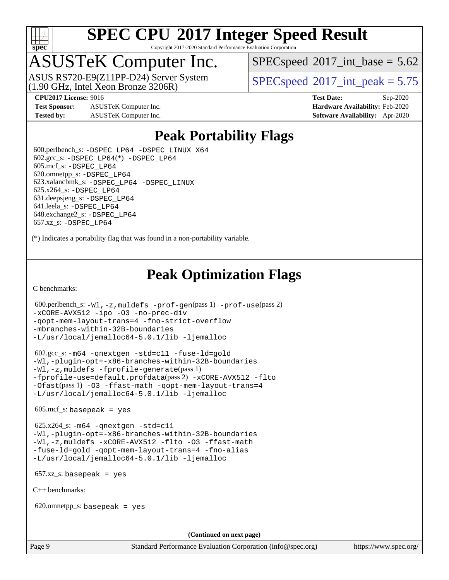

Copyright 2017-2020 Standard Performance Evaluation Corporation

## ASUSTeK Computer Inc.

(1.90 GHz, Intel Xeon Bronze 3206R) ASUS RS720-E9(Z11PP-D24) Server System  $SPECspeed@2017$  $SPECspeed@2017$  int\_peak = 5.75

 $SPECspeed^{\circ}2017\_int\_base = 5.62$  $SPECspeed^{\circ}2017\_int\_base = 5.62$ 

**[Test Sponsor:](http://www.spec.org/auto/cpu2017/Docs/result-fields.html#TestSponsor)** ASUSTeK Computer Inc. **[Hardware Availability:](http://www.spec.org/auto/cpu2017/Docs/result-fields.html#HardwareAvailability)** Feb-2020 **[Tested by:](http://www.spec.org/auto/cpu2017/Docs/result-fields.html#Testedby)** ASUSTeK Computer Inc. **[Software Availability:](http://www.spec.org/auto/cpu2017/Docs/result-fields.html#SoftwareAvailability)** Apr-2020

**[CPU2017 License:](http://www.spec.org/auto/cpu2017/Docs/result-fields.html#CPU2017License)** 9016 **[Test Date:](http://www.spec.org/auto/cpu2017/Docs/result-fields.html#TestDate)** Sep-2020

## **[Peak Portability Flags](http://www.spec.org/auto/cpu2017/Docs/result-fields.html#PeakPortabilityFlags)**

 600.perlbench\_s: [-DSPEC\\_LP64](http://www.spec.org/cpu2017/results/res2020q4/cpu2017-20200925-24018.flags.html#b600.perlbench_s_peakPORTABILITY_DSPEC_LP64) [-DSPEC\\_LINUX\\_X64](http://www.spec.org/cpu2017/results/res2020q4/cpu2017-20200925-24018.flags.html#b600.perlbench_s_peakCPORTABILITY_DSPEC_LINUX_X64)  $602.\text{gcc}\$ :  $-$ DSPEC\_LP64(\*)  $-$ DSPEC\_LP64 605.mcf\_s: [-DSPEC\\_LP64](http://www.spec.org/cpu2017/results/res2020q4/cpu2017-20200925-24018.flags.html#suite_peakPORTABILITY605_mcf_s_DSPEC_LP64) 620.omnetpp\_s: [-DSPEC\\_LP64](http://www.spec.org/cpu2017/results/res2020q4/cpu2017-20200925-24018.flags.html#suite_peakPORTABILITY620_omnetpp_s_DSPEC_LP64) 623.xalancbmk\_s: [-DSPEC\\_LP64](http://www.spec.org/cpu2017/results/res2020q4/cpu2017-20200925-24018.flags.html#suite_peakPORTABILITY623_xalancbmk_s_DSPEC_LP64) [-DSPEC\\_LINUX](http://www.spec.org/cpu2017/results/res2020q4/cpu2017-20200925-24018.flags.html#b623.xalancbmk_s_peakCXXPORTABILITY_DSPEC_LINUX) 625.x264\_s: [-DSPEC\\_LP64](http://www.spec.org/cpu2017/results/res2020q4/cpu2017-20200925-24018.flags.html#suite_peakPORTABILITY625_x264_s_DSPEC_LP64) 631.deepsjeng\_s: [-DSPEC\\_LP64](http://www.spec.org/cpu2017/results/res2020q4/cpu2017-20200925-24018.flags.html#suite_peakPORTABILITY631_deepsjeng_s_DSPEC_LP64) 641.leela\_s: [-DSPEC\\_LP64](http://www.spec.org/cpu2017/results/res2020q4/cpu2017-20200925-24018.flags.html#suite_peakPORTABILITY641_leela_s_DSPEC_LP64) 648.exchange2\_s: [-DSPEC\\_LP64](http://www.spec.org/cpu2017/results/res2020q4/cpu2017-20200925-24018.flags.html#suite_peakPORTABILITY648_exchange2_s_DSPEC_LP64) 657.xz\_s: [-DSPEC\\_LP64](http://www.spec.org/cpu2017/results/res2020q4/cpu2017-20200925-24018.flags.html#suite_peakPORTABILITY657_xz_s_DSPEC_LP64)

(\*) Indicates a portability flag that was found in a non-portability variable.

## **[Peak Optimization Flags](http://www.spec.org/auto/cpu2017/Docs/result-fields.html#PeakOptimizationFlags)**

[C benchmarks](http://www.spec.org/auto/cpu2017/Docs/result-fields.html#Cbenchmarks):

```
 600.perlbench_s: -Wl,-z,muldefs -prof-gen(pass 1) -prof-use(pass 2)
-xCORE-AVX512 -ipo -O3 -no-prec-div
-qopt-mem-layout-trans=4 -fno-strict-overflow
-mbranches-within-32B-boundaries
-L/usr/local/jemalloc64-5.0.1/lib -ljemalloc
```
 602.gcc\_s: [-m64](http://www.spec.org/cpu2017/results/res2020q4/cpu2017-20200925-24018.flags.html#user_peakCCLD602_gcc_s_m64-icc) [-qnextgen](http://www.spec.org/cpu2017/results/res2020q4/cpu2017-20200925-24018.flags.html#user_peakCCLD602_gcc_s_f-qnextgen) [-std=c11](http://www.spec.org/cpu2017/results/res2020q4/cpu2017-20200925-24018.flags.html#user_peakCCLD602_gcc_s_std-icc-std_0e1c27790398a4642dfca32ffe6c27b5796f9c2d2676156f2e42c9c44eaad0c049b1cdb667a270c34d979996257aeb8fc440bfb01818dbc9357bd9d174cb8524) [-fuse-ld=gold](http://www.spec.org/cpu2017/results/res2020q4/cpu2017-20200925-24018.flags.html#user_peakCCLD602_gcc_s_f-fuse-ld_920b3586e2b8c6e0748b9c84fa9b744736ba725a32cab14ad8f3d4ad28eecb2f59d1144823d2e17006539a88734fe1fc08fc3035f7676166309105a78aaabc32) [-Wl,-plugin-opt=-x86-branches-within-32B-boundaries](http://www.spec.org/cpu2017/results/res2020q4/cpu2017-20200925-24018.flags.html#user_peakLDFLAGS602_gcc_s_f-x86-branches-within-32B-boundaries_0098b4e4317ae60947b7b728078a624952a08ac37a3c797dfb4ffeb399e0c61a9dd0f2f44ce917e9361fb9076ccb15e7824594512dd315205382d84209e912f3) [-Wl,-z,muldefs](http://www.spec.org/cpu2017/results/res2020q4/cpu2017-20200925-24018.flags.html#user_peakEXTRA_LDFLAGS602_gcc_s_link_force_multiple1_b4cbdb97b34bdee9ceefcfe54f4c8ea74255f0b02a4b23e853cdb0e18eb4525ac79b5a88067c842dd0ee6996c24547a27a4b99331201badda8798ef8a743f577) [-fprofile-generate](http://www.spec.org/cpu2017/results/res2020q4/cpu2017-20200925-24018.flags.html#user_peakPASS1_CFLAGSPASS1_LDFLAGS602_gcc_s_fprofile-generate)(pass 1) [-fprofile-use=default.profdata](http://www.spec.org/cpu2017/results/res2020q4/cpu2017-20200925-24018.flags.html#user_peakPASS2_CFLAGSPASS2_LDFLAGS602_gcc_s_fprofile-use_56aeee182b92ec249f9670f17c9b8e7d83fe2d25538e35a2cf64c434b579a2235a8b8fc66ef5678d24461366bbab9d486c870d8a72905233fc08e43eefe3cd80)(pass 2) [-xCORE-AVX512](http://www.spec.org/cpu2017/results/res2020q4/cpu2017-20200925-24018.flags.html#user_peakCOPTIMIZEPASS1_CFLAGSPASS1_LDFLAGS602_gcc_s_f-xCORE-AVX512) [-flto](http://www.spec.org/cpu2017/results/res2020q4/cpu2017-20200925-24018.flags.html#user_peakCOPTIMIZEPASS1_CFLAGSPASS1_LDFLAGS602_gcc_s_f-flto) [-Ofast](http://www.spec.org/cpu2017/results/res2020q4/cpu2017-20200925-24018.flags.html#user_peakPASS1_CFLAGSPASS1_LDFLAGS602_gcc_s_f-Ofast)(pass 1) [-O3](http://www.spec.org/cpu2017/results/res2020q4/cpu2017-20200925-24018.flags.html#user_peakCOPTIMIZE602_gcc_s_f-O3) [-ffast-math](http://www.spec.org/cpu2017/results/res2020q4/cpu2017-20200925-24018.flags.html#user_peakCOPTIMIZE602_gcc_s_f-ffast-math) [-qopt-mem-layout-trans=4](http://www.spec.org/cpu2017/results/res2020q4/cpu2017-20200925-24018.flags.html#user_peakCOPTIMIZE602_gcc_s_f-qopt-mem-layout-trans_fa39e755916c150a61361b7846f310bcdf6f04e385ef281cadf3647acec3f0ae266d1a1d22d972a7087a248fd4e6ca390a3634700869573d231a252c784941a8) [-L/usr/local/jemalloc64-5.0.1/lib](http://www.spec.org/cpu2017/results/res2020q4/cpu2017-20200925-24018.flags.html#user_peakEXTRA_LIBS602_gcc_s_jemalloc_link_path64_1_cc289568b1a6c0fd3b62c91b824c27fcb5af5e8098e6ad028160d21144ef1b8aef3170d2acf0bee98a8da324cfe4f67d0a3d0c4cc4673d993d694dc2a0df248b) [-ljemalloc](http://www.spec.org/cpu2017/results/res2020q4/cpu2017-20200925-24018.flags.html#user_peakEXTRA_LIBS602_gcc_s_jemalloc_link_lib_d1249b907c500fa1c0672f44f562e3d0f79738ae9e3c4a9c376d49f265a04b9c99b167ecedbf6711b3085be911c67ff61f150a17b3472be731631ba4d0471706)

 $605 \text{.mcf}\text{.s.}$  basepeak = yes

 625.x264\_s: [-m64](http://www.spec.org/cpu2017/results/res2020q4/cpu2017-20200925-24018.flags.html#user_peakCCLD625_x264_s_m64-icc) [-qnextgen](http://www.spec.org/cpu2017/results/res2020q4/cpu2017-20200925-24018.flags.html#user_peakCCLD625_x264_s_f-qnextgen) [-std=c11](http://www.spec.org/cpu2017/results/res2020q4/cpu2017-20200925-24018.flags.html#user_peakCCLD625_x264_s_std-icc-std_0e1c27790398a4642dfca32ffe6c27b5796f9c2d2676156f2e42c9c44eaad0c049b1cdb667a270c34d979996257aeb8fc440bfb01818dbc9357bd9d174cb8524) [-Wl,-plugin-opt=-x86-branches-within-32B-boundaries](http://www.spec.org/cpu2017/results/res2020q4/cpu2017-20200925-24018.flags.html#user_peakLDFLAGS625_x264_s_f-x86-branches-within-32B-boundaries_0098b4e4317ae60947b7b728078a624952a08ac37a3c797dfb4ffeb399e0c61a9dd0f2f44ce917e9361fb9076ccb15e7824594512dd315205382d84209e912f3) [-Wl,-z,muldefs](http://www.spec.org/cpu2017/results/res2020q4/cpu2017-20200925-24018.flags.html#user_peakEXTRA_LDFLAGS625_x264_s_link_force_multiple1_b4cbdb97b34bdee9ceefcfe54f4c8ea74255f0b02a4b23e853cdb0e18eb4525ac79b5a88067c842dd0ee6996c24547a27a4b99331201badda8798ef8a743f577) [-xCORE-AVX512](http://www.spec.org/cpu2017/results/res2020q4/cpu2017-20200925-24018.flags.html#user_peakCOPTIMIZE625_x264_s_f-xCORE-AVX512) [-flto](http://www.spec.org/cpu2017/results/res2020q4/cpu2017-20200925-24018.flags.html#user_peakCOPTIMIZE625_x264_s_f-flto) [-O3](http://www.spec.org/cpu2017/results/res2020q4/cpu2017-20200925-24018.flags.html#user_peakCOPTIMIZE625_x264_s_f-O3) [-ffast-math](http://www.spec.org/cpu2017/results/res2020q4/cpu2017-20200925-24018.flags.html#user_peakCOPTIMIZE625_x264_s_f-ffast-math) [-fuse-ld=gold](http://www.spec.org/cpu2017/results/res2020q4/cpu2017-20200925-24018.flags.html#user_peakCOPTIMIZE625_x264_s_f-fuse-ld_920b3586e2b8c6e0748b9c84fa9b744736ba725a32cab14ad8f3d4ad28eecb2f59d1144823d2e17006539a88734fe1fc08fc3035f7676166309105a78aaabc32) [-qopt-mem-layout-trans=4](http://www.spec.org/cpu2017/results/res2020q4/cpu2017-20200925-24018.flags.html#user_peakCOPTIMIZE625_x264_s_f-qopt-mem-layout-trans_fa39e755916c150a61361b7846f310bcdf6f04e385ef281cadf3647acec3f0ae266d1a1d22d972a7087a248fd4e6ca390a3634700869573d231a252c784941a8) [-fno-alias](http://www.spec.org/cpu2017/results/res2020q4/cpu2017-20200925-24018.flags.html#user_peakEXTRA_OPTIMIZE625_x264_s_f-no-alias_77dbac10d91cbfe898fbf4a29d1b29b694089caa623bdd1baccc9957d4edbe8d106c0b357e2748a65b44fc9e83d78098bb898077f3fe92f9faf24f7bd4a07ed7) [-L/usr/local/jemalloc64-5.0.1/lib](http://www.spec.org/cpu2017/results/res2020q4/cpu2017-20200925-24018.flags.html#user_peakEXTRA_LIBS625_x264_s_jemalloc_link_path64_1_cc289568b1a6c0fd3b62c91b824c27fcb5af5e8098e6ad028160d21144ef1b8aef3170d2acf0bee98a8da324cfe4f67d0a3d0c4cc4673d993d694dc2a0df248b) [-ljemalloc](http://www.spec.org/cpu2017/results/res2020q4/cpu2017-20200925-24018.flags.html#user_peakEXTRA_LIBS625_x264_s_jemalloc_link_lib_d1249b907c500fa1c0672f44f562e3d0f79738ae9e3c4a9c376d49f265a04b9c99b167ecedbf6711b3085be911c67ff61f150a17b3472be731631ba4d0471706)

657.xz\_s: basepeak = yes

[C++ benchmarks:](http://www.spec.org/auto/cpu2017/Docs/result-fields.html#CXXbenchmarks)

620.omnetpp\_s: basepeak = yes

**(Continued on next page)**